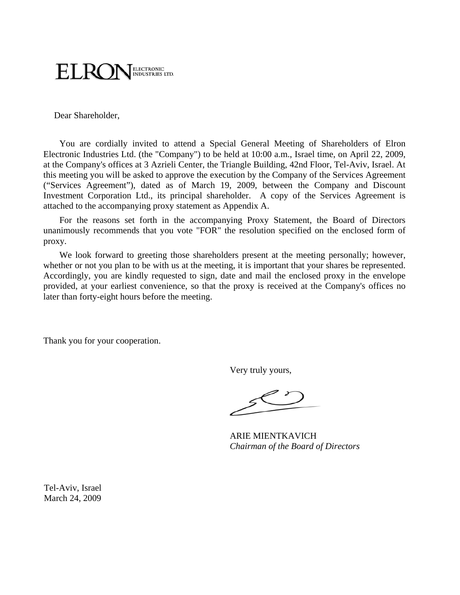

Dear Shareholder,

You are cordially invited to attend a Special General Meeting of Shareholders of Elron Electronic Industries Ltd. (the "Company") to be held at 10:00 a.m., Israel time, on April 22, 2009, at the Company's offices at 3 Azrieli Center, the Triangle Building, 42nd Floor, Tel-Aviv, Israel. At this meeting you will be asked to approve the execution by the Company of the Services Agreement ("Services Agreement"), dated as of March 19, 2009, between the Company and Discount Investment Corporation Ltd., its principal shareholder. A copy of the Services Agreement is attached to the accompanying proxy statement as Appendix A.

For the reasons set forth in the accompanying Proxy Statement, the Board of Directors unanimously recommends that you vote "FOR" the resolution specified on the enclosed form of proxy.

We look forward to greeting those shareholders present at the meeting personally; however, whether or not you plan to be with us at the meeting, it is important that your shares be represented. Accordingly, you are kindly requested to sign, date and mail the enclosed proxy in the envelope provided, at your earliest convenience, so that the proxy is received at the Company's offices no later than forty-eight hours before the meeting.

Thank you for your cooperation.

Very truly yours,

ARIE MIENTKAVICH *Chairman of the Board of Directors* 

Tel-Aviv, Israel March 24, 2009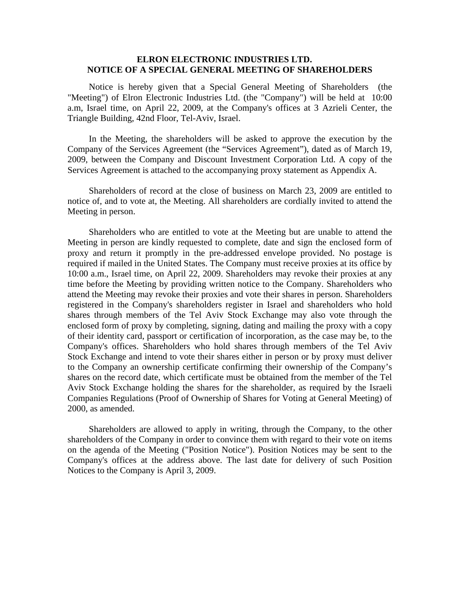### **ELRON ELECTRONIC INDUSTRIES LTD. NOTICE OF A SPECIAL GENERAL MEETING OF SHAREHOLDERS**

Notice is hereby given that a Special General Meeting of Shareholders (the "Meeting") of Elron Electronic Industries Ltd. (the "Company") will be held at 10:00 a.m, Israel time, on April 22, 2009, at the Company's offices at 3 Azrieli Center, the Triangle Building, 42nd Floor, Tel-Aviv, Israel.

In the Meeting, the shareholders will be asked to approve the execution by the Company of the Services Agreement (the "Services Agreement"), dated as of March 19, 2009, between the Company and Discount Investment Corporation Ltd. A copy of the Services Agreement is attached to the accompanying proxy statement as Appendix A.

Shareholders of record at the close of business on March 23, 2009 are entitled to notice of, and to vote at, the Meeting. All shareholders are cordially invited to attend the Meeting in person.

Shareholders who are entitled to vote at the Meeting but are unable to attend the Meeting in person are kindly requested to complete, date and sign the enclosed form of proxy and return it promptly in the pre-addressed envelope provided. No postage is required if mailed in the United States. The Company must receive proxies at its office by 10:00 a.m., Israel time, on April 22, 2009. Shareholders may revoke their proxies at any time before the Meeting by providing written notice to the Company. Shareholders who attend the Meeting may revoke their proxies and vote their shares in person. Shareholders registered in the Company's shareholders register in Israel and shareholders who hold shares through members of the Tel Aviv Stock Exchange may also vote through the enclosed form of proxy by completing, signing, dating and mailing the proxy with a copy of their identity card, passport or certification of incorporation, as the case may be, to the Company's offices. Shareholders who hold shares through members of the Tel Aviv Stock Exchange and intend to vote their shares either in person or by proxy must deliver to the Company an ownership certificate confirming their ownership of the Company's shares on the record date, which certificate must be obtained from the member of the Tel Aviv Stock Exchange holding the shares for the shareholder, as required by the Israeli Companies Regulations (Proof of Ownership of Shares for Voting at General Meeting) of 2000, as amended.

Shareholders are allowed to apply in writing, through the Company, to the other shareholders of the Company in order to convince them with regard to their vote on items on the agenda of the Meeting ("Position Notice"). Position Notices may be sent to the Company's offices at the address above. The last date for delivery of such Position Notices to the Company is April 3, 2009.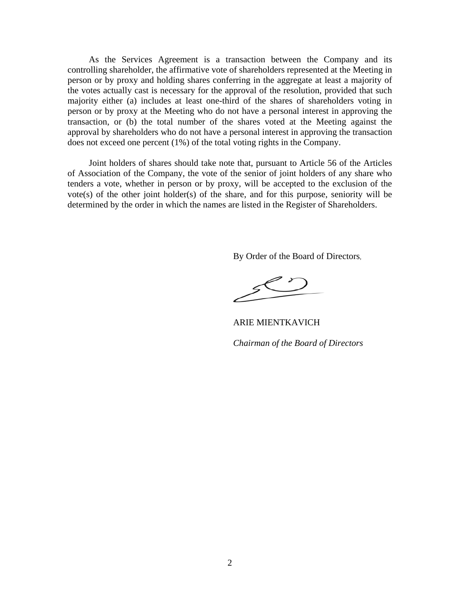As the Services Agreement is a transaction between the Company and its controlling shareholder, the affirmative vote of shareholders represented at the Meeting in person or by proxy and holding shares conferring in the aggregate at least a majority of the votes actually cast is necessary for the approval of the resolution, provided that such majority either (a) includes at least one-third of the shares of shareholders voting in person or by proxy at the Meeting who do not have a personal interest in approving the transaction, or (b) the total number of the shares voted at the Meeting against the approval by shareholders who do not have a personal interest in approving the transaction does not exceed one percent (1%) of the total voting rights in the Company.

Joint holders of shares should take note that, pursuant to Article 56 of the Articles of Association of the Company, the vote of the senior of joint holders of any share who tenders a vote, whether in person or by proxy, will be accepted to the exclusion of the vote(s) of the other joint holder(s) of the share, and for this purpose, seniority will be determined by the order in which the names are listed in the Register of Shareholders.

By Order of the Board of Directors,

ARIE MIENTKAVICH *Chairman of the Board of Directors*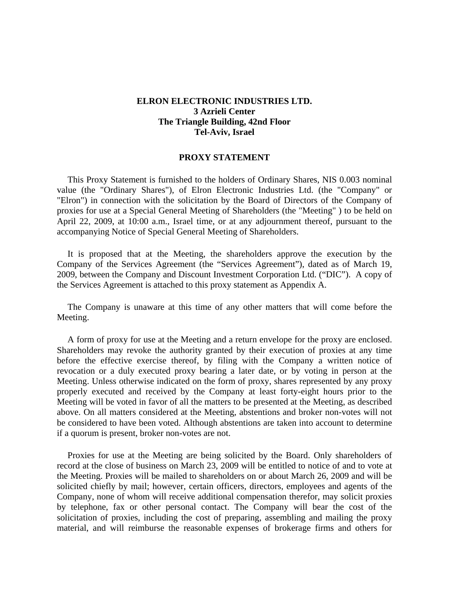# **ELRON ELECTRONIC INDUSTRIES LTD. 3 Azrieli Center The Triangle Building, 42nd Floor Tel-Aviv, Israel**

#### **PROXY STATEMENT**

This Proxy Statement is furnished to the holders of Ordinary Shares, NIS 0.003 nominal value (the "Ordinary Shares"), of Elron Electronic Industries Ltd. (the "Company" or "Elron") in connection with the solicitation by the Board of Directors of the Company of proxies for use at a Special General Meeting of Shareholders (the "Meeting" ) to be held on April 22, 2009, at 10:00 a.m., Israel time, or at any adjournment thereof, pursuant to the accompanying Notice of Special General Meeting of Shareholders.

It is proposed that at the Meeting, the shareholders approve the execution by the Company of the Services Agreement (the "Services Agreement"), dated as of March 19, 2009, between the Company and Discount Investment Corporation Ltd. ("DIC"). A copy of the Services Agreement is attached to this proxy statement as Appendix A.

The Company is unaware at this time of any other matters that will come before the Meeting.

A form of proxy for use at the Meeting and a return envelope for the proxy are enclosed. Shareholders may revoke the authority granted by their execution of proxies at any time before the effective exercise thereof, by filing with the Company a written notice of revocation or a duly executed proxy bearing a later date, or by voting in person at the Meeting. Unless otherwise indicated on the form of proxy, shares represented by any proxy properly executed and received by the Company at least forty-eight hours prior to the Meeting will be voted in favor of all the matters to be presented at the Meeting, as described above. On all matters considered at the Meeting, abstentions and broker non-votes will not be considered to have been voted. Although abstentions are taken into account to determine if a quorum is present, broker non-votes are not.

Proxies for use at the Meeting are being solicited by the Board. Only shareholders of record at the close of business on March 23, 2009 will be entitled to notice of and to vote at the Meeting. Proxies will be mailed to shareholders on or about March 26, 2009 and will be solicited chiefly by mail; however, certain officers, directors, employees and agents of the Company, none of whom will receive additional compensation therefor, may solicit proxies by telephone, fax or other personal contact. The Company will bear the cost of the solicitation of proxies, including the cost of preparing, assembling and mailing the proxy material, and will reimburse the reasonable expenses of brokerage firms and others for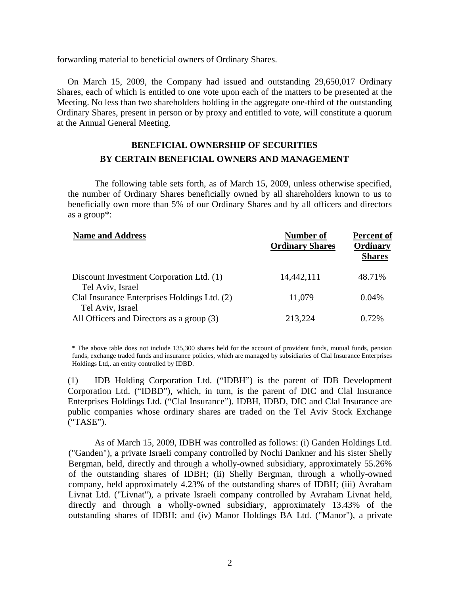forwarding material to beneficial owners of Ordinary Shares.

On March 15, 2009, the Company had issued and outstanding 29,650,017 Ordinary Shares, each of which is entitled to one vote upon each of the matters to be presented at the Meeting. No less than two shareholders holding in the aggregate one-third of the outstanding Ordinary Shares, present in person or by proxy and entitled to vote, will constitute a quorum at the Annual General Meeting.

# **BENEFICIAL OWNERSHIP OF SECURITIES BY CERTAIN BENEFICIAL OWNERS AND MANAGEMENT**

The following table sets forth, as of March 15, 2009, unless otherwise specified, the number of Ordinary Shares beneficially owned by all shareholders known to us to beneficially own more than 5% of our Ordinary Shares and by all officers and directors as a group\*:

| <b>Name and Address</b>                                       | Number of<br><b>Ordinary Shares</b> | <b>Percent of</b><br>Ordinary<br><b>Shares</b> |
|---------------------------------------------------------------|-------------------------------------|------------------------------------------------|
| Discount Investment Corporation Ltd. (1)<br>Tel Aviv, Israel  | 14,442,111                          | 48.71%                                         |
| Clal Insurance Enterprises Holdings Ltd. (2)                  | 11,079                              | $0.04\%$                                       |
| Tel Aviv, Israel<br>All Officers and Directors as a group (3) | 213,224                             | 0.72%                                          |

\* The above table does not include 135,300 shares held for the account of provident funds, mutual funds, pension funds, exchange traded funds and insurance policies, which are managed by subsidiaries of Clal Insurance Enterprises Holdings Ltd,. an entity controlled by IDBD.

 (1) IDB Holding Corporation Ltd. ("IDBH") is the parent of IDB Development Corporation Ltd. ("IDBD"), which, in turn, is the parent of DIC and Clal Insurance Enterprises Holdings Ltd. ("Clal Insurance"). IDBH, IDBD, DIC and Clal Insurance are public companies whose ordinary shares are traded on the Tel Aviv Stock Exchange ("TASE").

As of March 15, 2009, IDBH was controlled as follows: (i) Ganden Holdings Ltd. ("Ganden"), a private Israeli company controlled by Nochi Dankner and his sister Shelly Bergman, held, directly and through a wholly-owned subsidiary, approximately 55.26% of the outstanding shares of IDBH; (ii) Shelly Bergman, through a wholly-owned company, held approximately 4.23% of the outstanding shares of IDBH; (iii) Avraham Livnat Ltd. ("Livnat"), a private Israeli company controlled by Avraham Livnat held, directly and through a wholly-owned subsidiary, approximately 13.43% of the outstanding shares of IDBH; and (iv) Manor Holdings BA Ltd. ("Manor"), a private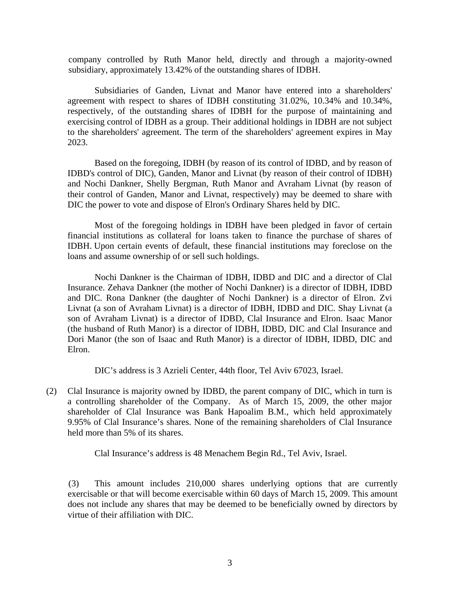company controlled by Ruth Manor held, directly and through a majority-owned subsidiary, approximately 13.42% of the outstanding shares of IDBH.

Subsidiaries of Ganden, Livnat and Manor have entered into a shareholders' agreement with respect to shares of IDBH constituting 31.02%, 10.34% and 10.34%, respectively, of the outstanding shares of IDBH for the purpose of maintaining and exercising control of IDBH as a group. Their additional holdings in IDBH are not subject to the shareholders' agreement. The term of the shareholders' agreement expires in May 2023.

Based on the foregoing, IDBH (by reason of its control of IDBD, and by reason of IDBD's control of DIC), Ganden, Manor and Livnat (by reason of their control of IDBH) and Nochi Dankner, Shelly Bergman, Ruth Manor and Avraham Livnat (by reason of their control of Ganden, Manor and Livnat, respectively) may be deemed to share with DIC the power to vote and dispose of Elron's Ordinary Shares held by DIC.

Most of the foregoing holdings in IDBH have been pledged in favor of certain financial institutions as collateral for loans taken to finance the purchase of shares of IDBH. Upon certain events of default, these financial institutions may foreclose on the loans and assume ownership of or sell such holdings.

Nochi Dankner is the Chairman of IDBH, IDBD and DIC and a director of Clal Insurance. Zehava Dankner (the mother of Nochi Dankner) is a director of IDBH, IDBD and DIC. Rona Dankner (the daughter of Nochi Dankner) is a director of Elron. Zvi Livnat (a son of Avraham Livnat) is a director of IDBH, IDBD and DIC. Shay Livnat (a son of Avraham Livnat) is a director of IDBD, Clal Insurance and Elron. Isaac Manor (the husband of Ruth Manor) is a director of IDBH, IDBD, DIC and Clal Insurance and Dori Manor (the son of Isaac and Ruth Manor) is a director of IDBH, IDBD, DIC and Elron.

DIC's address is 3 Azrieli Center, 44th floor, Tel Aviv 67023, Israel.

(2) Clal Insurance is majority owned by IDBD, the parent company of DIC, which in turn is a controlling shareholder of the Company. As of March 15, 2009, the other major shareholder of Clal Insurance was Bank Hapoalim B.M., which held approximately 9.95% of Clal Insurance's shares. None of the remaining shareholders of Clal Insurance held more than 5% of its shares.

Clal Insurance's address is 48 Menachem Begin Rd., Tel Aviv, Israel.

(3) This amount includes 210,000 shares underlying options that are currently exercisable or that will become exercisable within 60 days of March 15, 2009. This amount does not include any shares that may be deemed to be beneficially owned by directors by virtue of their affiliation with DIC.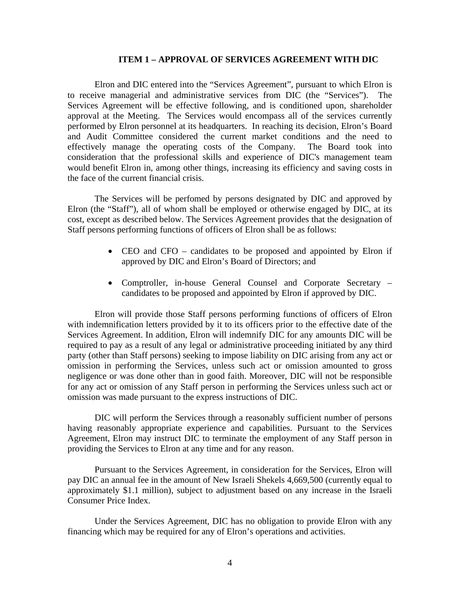#### **ITEM 1 – APPROVAL OF SERVICES AGREEMENT WITH DIC**

Elron and DIC entered into the "Services Agreement", pursuant to which Elron is to receive managerial and administrative services from DIC (the "Services"). The Services Agreement will be effective following, and is conditioned upon, shareholder approval at the Meeting. The Services would encompass all of the services currently performed by Elron personnel at its headquarters. In reaching its decision, Elron's Board and Audit Committee considered the current market conditions and the need to effectively manage the operating costs of the Company. The Board took into consideration that the professional skills and experience of DIC's management team would benefit Elron in, among other things, increasing its efficiency and saving costs in the face of the current financial crisis.

The Services will be perfomed by persons designated by DIC and approved by Elron (the "Staff"), all of whom shall be employed or otherwise engaged by DIC, at its cost, except as described below. The Services Agreement provides that the designation of Staff persons performing functions of officers of Elron shall be as follows:

- CEO and CFO candidates to be proposed and appointed by Elron if approved by DIC and Elron's Board of Directors; and
- Comptroller, in-house General Counsel and Corporate Secretary candidates to be proposed and appointed by Elron if approved by DIC.

Elron will provide those Staff persons performing functions of officers of Elron with indemnification letters provided by it to its officers prior to the effective date of the Services Agreement. In addition, Elron will indemnify DIC for any amounts DIC will be required to pay as a result of any legal or administrative proceeding initiated by any third party (other than Staff persons) seeking to impose liability on DIC arising from any act or omission in performing the Services, unless such act or omission amounted to gross negligence or was done other than in good faith. Moreover, DIC will not be responsible for any act or omission of any Staff person in performing the Services unless such act or omission was made pursuant to the express instructions of DIC.

DIC will perform the Services through a reasonably sufficient number of persons having reasonably appropriate experience and capabilities. Pursuant to the Services Agreement, Elron may instruct DIC to terminate the employment of any Staff person in providing the Services to Elron at any time and for any reason.

Pursuant to the Services Agreement, in consideration for the Services, Elron will pay DIC an annual fee in the amount of New Israeli Shekels 4,669,500 (currently equal to approximately \$1.1 million), subject to adjustment based on any increase in the Israeli Consumer Price Index.

Under the Services Agreement, DIC has no obligation to provide Elron with any financing which may be required for any of Elron's operations and activities.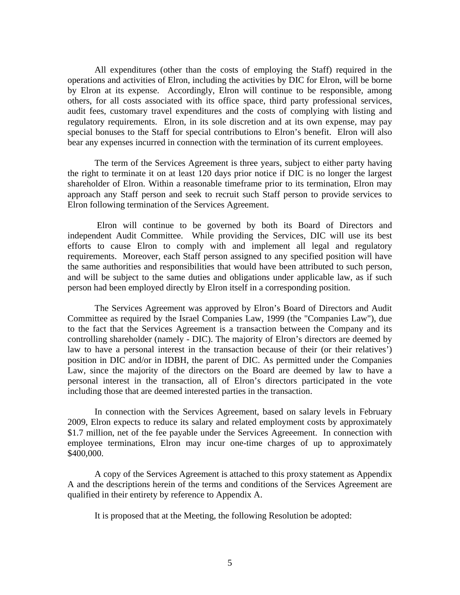All expenditures (other than the costs of employing the Staff) required in the operations and activities of Elron, including the activities by DIC for Elron, will be borne by Elron at its expense. Accordingly, Elron will continue to be responsible, among others, for all costs associated with its office space, third party professional services, audit fees, customary travel expenditures and the costs of complying with listing and regulatory requirements. Elron, in its sole discretion and at its own expense, may pay special bonuses to the Staff for special contributions to Elron's benefit. Elron will also bear any expenses incurred in connection with the termination of its current employees.

The term of the Services Agreement is three years, subject to either party having the right to terminate it on at least 120 days prior notice if DIC is no longer the largest shareholder of Elron. Within a reasonable timeframe prior to its termination, Elron may approach any Staff person and seek to recruit such Staff person to provide services to Elron following termination of the Services Agreement.

 Elron will continue to be governed by both its Board of Directors and independent Audit Committee. While providing the Services, DIC will use its best efforts to cause Elron to comply with and implement all legal and regulatory requirements. Moreover, each Staff person assigned to any specified position will have the same authorities and responsibilities that would have been attributed to such person, and will be subject to the same duties and obligations under applicable law, as if such person had been employed directly by Elron itself in a corresponding position.

The Services Agreement was approved by Elron's Board of Directors and Audit Committee as required by the Israel Companies Law, 1999 (the "Companies Law"), due to the fact that the Services Agreement is a transaction between the Company and its controlling shareholder (namely - DIC). The majority of Elron's directors are deemed by law to have a personal interest in the transaction because of their (or their relatives') position in DIC and/or in IDBH, the parent of DIC. As permitted under the Companies Law, since the majority of the directors on the Board are deemed by law to have a personal interest in the transaction, all of Elron's directors participated in the vote including those that are deemed interested parties in the transaction.

In connection with the Services Agreement, based on salary levels in February 2009, Elron expects to reduce its salary and related employment costs by approximately \$1.7 million, net of the fee payable under the Services Agreeement. In connection with employee terminations, Elron may incur one-time charges of up to approximately \$400,000.

A copy of the Services Agreement is attached to this proxy statement as Appendix A and the descriptions herein of the terms and conditions of the Services Agreement are qualified in their entirety by reference to Appendix A.

It is proposed that at the Meeting, the following Resolution be adopted: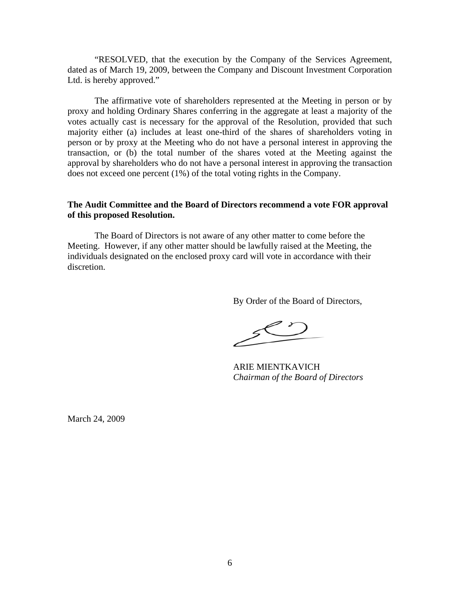"RESOLVED, that the execution by the Company of the Services Agreement, dated as of March 19, 2009, between the Company and Discount Investment Corporation Ltd. is hereby approved."

The affirmative vote of shareholders represented at the Meeting in person or by proxy and holding Ordinary Shares conferring in the aggregate at least a majority of the votes actually cast is necessary for the approval of the Resolution, provided that such majority either (a) includes at least one-third of the shares of shareholders voting in person or by proxy at the Meeting who do not have a personal interest in approving the transaction, or (b) the total number of the shares voted at the Meeting against the approval by shareholders who do not have a personal interest in approving the transaction does not exceed one percent (1%) of the total voting rights in the Company.

## **The Audit Committee and the Board of Directors recommend a vote FOR approval of this proposed Resolution.**

The Board of Directors is not aware of any other matter to come before the Meeting. However, if any other matter should be lawfully raised at the Meeting, the individuals designated on the enclosed proxy card will vote in accordance with their discretion.

By Order of the Board of Directors,

ARIE MIENTKAVICH *Chairman of the Board of Directors* 

March 24, 2009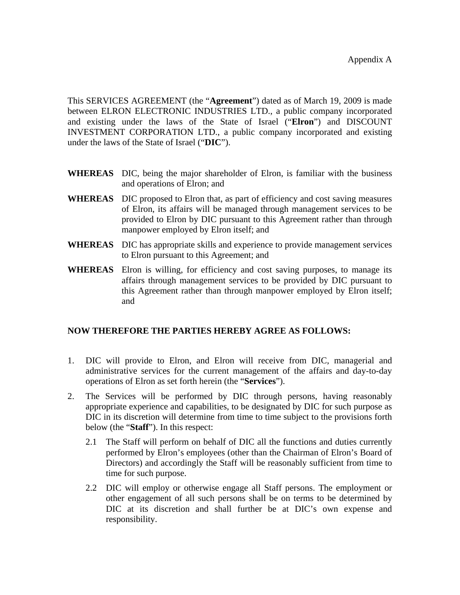This SERVICES AGREEMENT (the "**Agreement**") dated as of March 19, 2009 is made between ELRON ELECTRONIC INDUSTRIES LTD., a public company incorporated and existing under the laws of the State of Israel ("**Elron**") and DISCOUNT INVESTMENT CORPORATION LTD., a public company incorporated and existing under the laws of the State of Israel ("**DIC**").

- **WHEREAS** DIC, being the major shareholder of Elron, is familiar with the business and operations of Elron; and
- **WHEREAS** DIC proposed to Elron that, as part of efficiency and cost saving measures of Elron, its affairs will be managed through management services to be provided to Elron by DIC pursuant to this Agreement rather than through manpower employed by Elron itself; and
- **WHEREAS** DIC has appropriate skills and experience to provide management services to Elron pursuant to this Agreement; and
- **WHEREAS** Elron is willing, for efficiency and cost saving purposes, to manage its affairs through management services to be provided by DIC pursuant to this Agreement rather than through manpower employed by Elron itself; and

# **NOW THEREFORE THE PARTIES HEREBY AGREE AS FOLLOWS:**

- 1. DIC will provide to Elron, and Elron will receive from DIC, managerial and administrative services for the current management of the affairs and day-to-day operations of Elron as set forth herein (the "**Services**").
- 2. The Services will be performed by DIC through persons, having reasonably appropriate experience and capabilities, to be designated by DIC for such purpose as DIC in its discretion will determine from time to time subject to the provisions forth below (the "**Staff**"). In this respect:
	- 2.1 The Staff will perform on behalf of DIC all the functions and duties currently performed by Elron's employees (other than the Chairman of Elron's Board of Directors) and accordingly the Staff will be reasonably sufficient from time to time for such purpose.
	- 2.2 DIC will employ or otherwise engage all Staff persons. The employment or other engagement of all such persons shall be on terms to be determined by DIC at its discretion and shall further be at DIC's own expense and responsibility.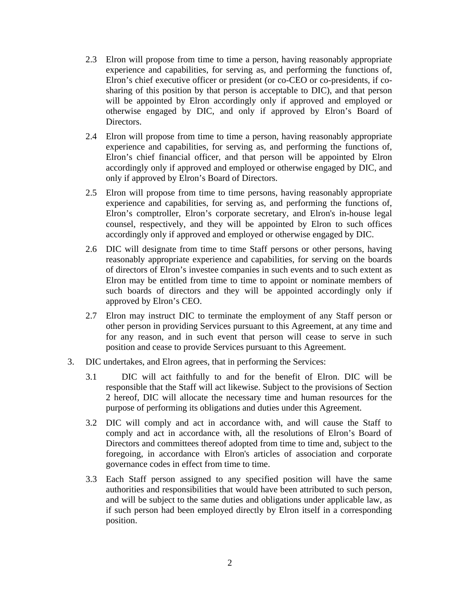- 2.3 Elron will propose from time to time a person, having reasonably appropriate experience and capabilities, for serving as, and performing the functions of, Elron's chief executive officer or president (or co-CEO or co-presidents, if cosharing of this position by that person is acceptable to DIC), and that person will be appointed by Elron accordingly only if approved and employed or otherwise engaged by DIC, and only if approved by Elron's Board of Directors.
- 2.4 Elron will propose from time to time a person, having reasonably appropriate experience and capabilities, for serving as, and performing the functions of, Elron's chief financial officer, and that person will be appointed by Elron accordingly only if approved and employed or otherwise engaged by DIC, and only if approved by Elron's Board of Directors.
- 2.5 Elron will propose from time to time persons, having reasonably appropriate experience and capabilities, for serving as, and performing the functions of, Elron's comptroller, Elron's corporate secretary, and Elron's in-house legal counsel, respectively, and they will be appointed by Elron to such offices accordingly only if approved and employed or otherwise engaged by DIC.
- 2.6 DIC will designate from time to time Staff persons or other persons, having reasonably appropriate experience and capabilities, for serving on the boards of directors of Elron's investee companies in such events and to such extent as Elron may be entitled from time to time to appoint or nominate members of such boards of directors and they will be appointed accordingly only if approved by Elron's CEO.
- 2.7 Elron may instruct DIC to terminate the employment of any Staff person or other person in providing Services pursuant to this Agreement, at any time and for any reason, and in such event that person will cease to serve in such position and cease to provide Services pursuant to this Agreement.
- 3. DIC undertakes, and Elron agrees, that in performing the Services:
	- 3.1 DIC will act faithfully to and for the benefit of Elron. DIC will be responsible that the Staff will act likewise. Subject to the provisions of Section 2 hereof, DIC will allocate the necessary time and human resources for the purpose of performing its obligations and duties under this Agreement.
	- 3.2 DIC will comply and act in accordance with, and will cause the Staff to comply and act in accordance with, all the resolutions of Elron's Board of Directors and committees thereof adopted from time to time and, subject to the foregoing, in accordance with Elron's articles of association and corporate governance codes in effect from time to time.
	- 3.3 Each Staff person assigned to any specified position will have the same authorities and responsibilities that would have been attributed to such person, and will be subject to the same duties and obligations under applicable law, as if such person had been employed directly by Elron itself in a corresponding position.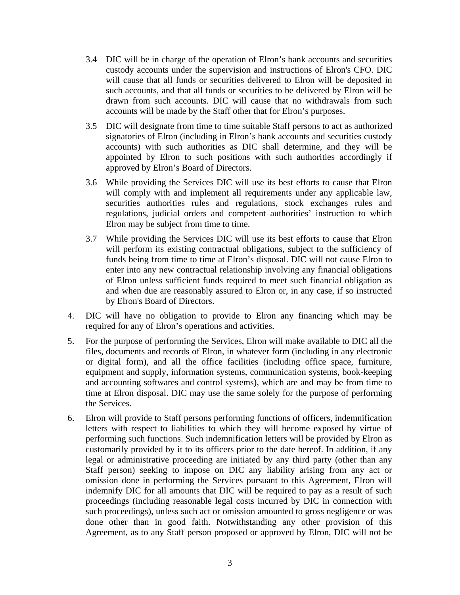- 3.4 DIC will be in charge of the operation of Elron's bank accounts and securities custody accounts under the supervision and instructions of Elron's CFO. DIC will cause that all funds or securities delivered to Elron will be deposited in such accounts, and that all funds or securities to be delivered by Elron will be drawn from such accounts. DIC will cause that no withdrawals from such accounts will be made by the Staff other that for Elron's purposes.
- 3.5 DIC will designate from time to time suitable Staff persons to act as authorized signatories of Elron (including in Elron's bank accounts and securities custody accounts) with such authorities as DIC shall determine, and they will be appointed by Elron to such positions with such authorities accordingly if approved by Elron's Board of Directors.
- 3.6 While providing the Services DIC will use its best efforts to cause that Elron will comply with and implement all requirements under any applicable law, securities authorities rules and regulations, stock exchanges rules and regulations, judicial orders and competent authorities' instruction to which Elron may be subject from time to time.
- 3.7 While providing the Services DIC will use its best efforts to cause that Elron will perform its existing contractual obligations, subject to the sufficiency of funds being from time to time at Elron's disposal. DIC will not cause Elron to enter into any new contractual relationship involving any financial obligations of Elron unless sufficient funds required to meet such financial obligation as and when due are reasonably assured to Elron or, in any case, if so instructed by Elron's Board of Directors.
- 4. DIC will have no obligation to provide to Elron any financing which may be required for any of Elron's operations and activities.
- 5. For the purpose of performing the Services, Elron will make available to DIC all the files, documents and records of Elron, in whatever form (including in any electronic or digital form), and all the office facilities (including office space, furniture, equipment and supply, information systems, communication systems, book-keeping and accounting softwares and control systems), which are and may be from time to time at Elron disposal. DIC may use the same solely for the purpose of performing the Services.
- 6. Elron will provide to Staff persons performing functions of officers, indemnification letters with respect to liabilities to which they will become exposed by virtue of performing such functions. Such indemnification letters will be provided by Elron as customarily provided by it to its officers prior to the date hereof. In addition, if any legal or administrative proceeding are initiated by any third party (other than any Staff person) seeking to impose on DIC any liability arising from any act or omission done in performing the Services pursuant to this Agreement, Elron will indemnify DIC for all amounts that DIC will be required to pay as a result of such proceedings (including reasonable legal costs incurred by DIC in connection with such proceedings), unless such act or omission amounted to gross negligence or was done other than in good faith. Notwithstanding any other provision of this Agreement, as to any Staff person proposed or approved by Elron, DIC will not be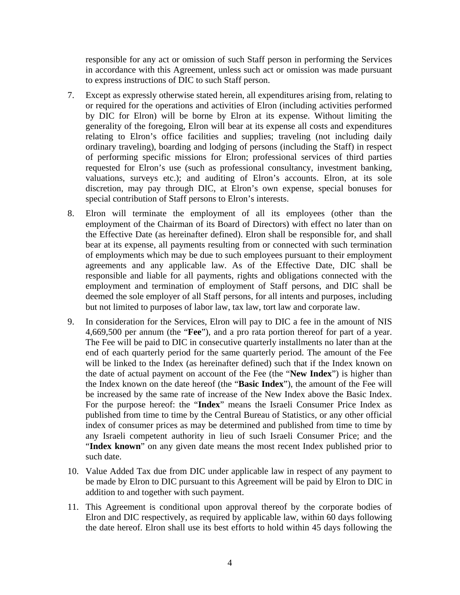responsible for any act or omission of such Staff person in performing the Services in accordance with this Agreement, unless such act or omission was made pursuant to express instructions of DIC to such Staff person.

- 7. Except as expressly otherwise stated herein, all expenditures arising from, relating to or required for the operations and activities of Elron (including activities performed by DIC for Elron) will be borne by Elron at its expense. Without limiting the generality of the foregoing, Elron will bear at its expense all costs and expenditures relating to Elron's office facilities and supplies; traveling (not including daily ordinary traveling), boarding and lodging of persons (including the Staff) in respect of performing specific missions for Elron; professional services of third parties requested for Elron's use (such as professional consultancy, investment banking, valuations, surveys etc.); and auditing of Elron's accounts. Elron, at its sole discretion, may pay through DIC, at Elron's own expense, special bonuses for special contribution of Staff persons to Elron's interests.
- 8. Elron will terminate the employment of all its employees (other than the employment of the Chairman of its Board of Directors) with effect no later than on the Effective Date (as hereinafter defined). Elron shall be responsible for, and shall bear at its expense, all payments resulting from or connected with such termination of employments which may be due to such employees pursuant to their employment agreements and any applicable law. As of the Effective Date, DIC shall be responsible and liable for all payments, rights and obligations connected with the employment and termination of employment of Staff persons, and DIC shall be deemed the sole employer of all Staff persons, for all intents and purposes, including but not limited to purposes of labor law, tax law, tort law and corporate law.
- 9. In consideration for the Services, Elron will pay to DIC a fee in the amount of NIS 4,669,500 per annum (the "**Fee**"), and a pro rata portion thereof for part of a year. The Fee will be paid to DIC in consecutive quarterly installments no later than at the end of each quarterly period for the same quarterly period. The amount of the Fee will be linked to the Index (as hereinafter defined) such that if the Index known on the date of actual payment on account of the Fee (the "**New Index**") is higher than the Index known on the date hereof (the "**Basic Index**"), the amount of the Fee will be increased by the same rate of increase of the New Index above the Basic Index. For the purpose hereof: the "**Index**" means the Israeli Consumer Price Index as published from time to time by the Central Bureau of Statistics, or any other official index of consumer prices as may be determined and published from time to time by any Israeli competent authority in lieu of such Israeli Consumer Price; and the "Index known" on any given date means the most recent Index published prior to such date.
- 10. Value Added Tax due from DIC under applicable law in respect of any payment to be made by Elron to DIC pursuant to this Agreement will be paid by Elron to DIC in addition to and together with such payment.
- 11. This Agreement is conditional upon approval thereof by the corporate bodies of Elron and DIC respectively, as required by applicable law, within 60 days following the date hereof. Elron shall use its best efforts to hold within 45 days following the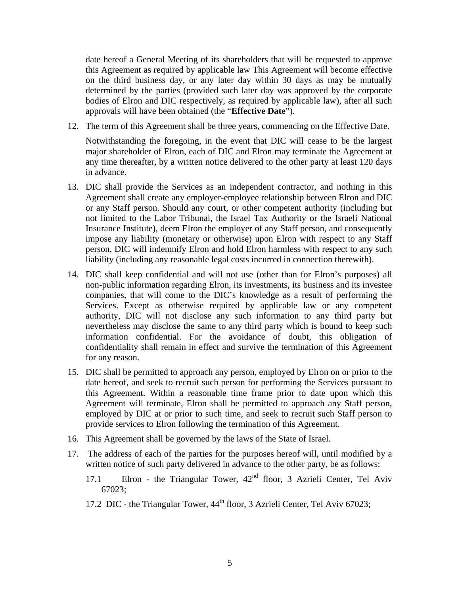date hereof a General Meeting of its shareholders that will be requested to approve this Agreement as required by applicable law This Agreement will become effective on the third business day, or any later day within 30 days as may be mutually determined by the parties (provided such later day was approved by the corporate bodies of Elron and DIC respectively, as required by applicable law), after all such approvals will have been obtained (the "**Effective Date**").

12. The term of this Agreement shall be three years, commencing on the Effective Date.

Notwithstanding the foregoing, in the event that DIC will cease to be the largest major shareholder of Elron, each of DIC and Elron may terminate the Agreement at any time thereafter, by a written notice delivered to the other party at least 120 days in advance.

- 13. DIC shall provide the Services as an independent contractor, and nothing in this Agreement shall create any employer-employee relationship between Elron and DIC or any Staff person. Should any court, or other competent authority (including but not limited to the Labor Tribunal, the Israel Tax Authority or the Israeli National Insurance Institute), deem Elron the employer of any Staff person, and consequently impose any liability (monetary or otherwise) upon Elron with respect to any Staff person, DIC will indemnify Elron and hold Elron harmless with respect to any such liability (including any reasonable legal costs incurred in connection therewith).
- 14. DIC shall keep confidential and will not use (other than for Elron's purposes) all non-public information regarding Elron, its investments, its business and its investee companies, that will come to the DIC's knowledge as a result of performing the Services. Except as otherwise required by applicable law or any competent authority, DIC will not disclose any such information to any third party but nevertheless may disclose the same to any third party which is bound to keep such information confidential. For the avoidance of doubt, this obligation of confidentiality shall remain in effect and survive the termination of this Agreement for any reason.
- 15. DIC shall be permitted to approach any person, employed by Elron on or prior to the date hereof, and seek to recruit such person for performing the Services pursuant to this Agreement. Within a reasonable time frame prior to date upon which this Agreement will terminate, Elron shall be permitted to approach any Staff person, employed by DIC at or prior to such time, and seek to recruit such Staff person to provide services to Elron following the termination of this Agreement.
- 16. This Agreement shall be governed by the laws of the State of Israel.
- 17. The address of each of the parties for the purposes hereof will, until modified by a written notice of such party delivered in advance to the other party, be as follows:
	- 17.1 Elron the Triangular Tower,  $42<sup>nd</sup>$  floor, 3 Azrieli Center, Tel Aviv 67023;
	- 17.2 DIC the Triangular Tower, 44<sup>th</sup> floor, 3 Azrieli Center, Tel Aviv 67023;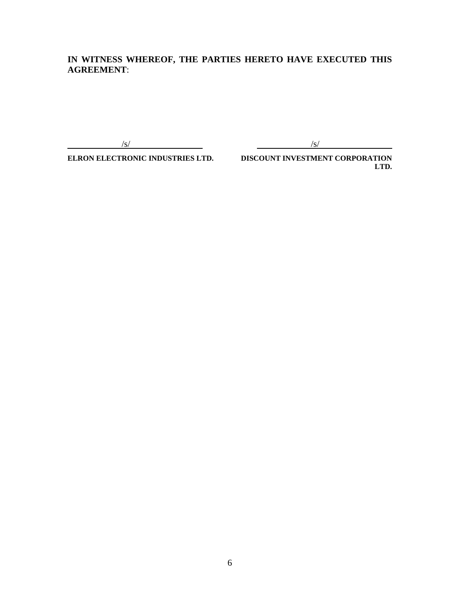# **IN WITNESS WHEREOF, THE PARTIES HERETO HAVE EXECUTED THIS AGREEMENT**:

 $\sqrt{s}$ /s/

**ELRON ELECTRONIC INDUSTRIES LTD. DISCOUNT INVESTMENT CORPORATION LTD.**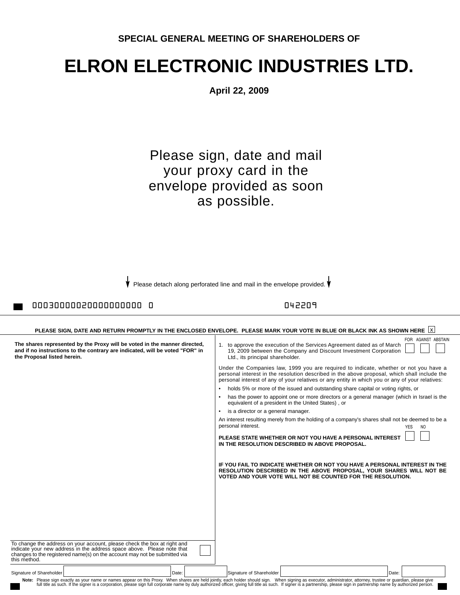# **ELRON ELECTRONIC INDUSTRIES LTD.**

**April 22, 2009**

Please sign, date and mail your proxy card in the envelope provided as soon as possible.

Please detach along perforated line and mail in the envelope provided.  $\mathbf{\dot{V}}$ 

# 00030000020000000000 0 042209

| PLEASE SIGN. DATE AND RETURN PROMPTLY IN THE ENCLOSED ENVELOPE. PLEASE MARK YOUR VOTE IN BLUE OR BLACK INK AS SHOWN HERE  X                                                                                                                     |                                                                                                                                                                                                                                                                                                                                                                                                                                                  |  |
|-------------------------------------------------------------------------------------------------------------------------------------------------------------------------------------------------------------------------------------------------|--------------------------------------------------------------------------------------------------------------------------------------------------------------------------------------------------------------------------------------------------------------------------------------------------------------------------------------------------------------------------------------------------------------------------------------------------|--|
| The shares represented by the Proxy will be voted in the manner directed,<br>and if no instructions to the contrary are indicated, will be voted "FOR" in<br>the Proposal listed herein.                                                        | FOR AGAINST ABSTAIN<br>1. to approve the execution of the Services Agreement dated as of March<br>19, 2009 between the Company and Discount Investment Corporation<br>Ltd., its principal shareholder.                                                                                                                                                                                                                                           |  |
|                                                                                                                                                                                                                                                 | Under the Companies law, 1999 you are required to indicate, whether or not you have a<br>personal interest in the resolution described in the above proposal, which shall include the<br>personal interest of any of your relatives or any entity in which you or any of your relatives:                                                                                                                                                         |  |
|                                                                                                                                                                                                                                                 | holds 5% or more of the issued and outstanding share capital or voting rights, or                                                                                                                                                                                                                                                                                                                                                                |  |
|                                                                                                                                                                                                                                                 | has the power to appoint one or more directors or a general manager (which in Israel is the<br>equivalent of a president in the United States), or                                                                                                                                                                                                                                                                                               |  |
|                                                                                                                                                                                                                                                 | is a director or a general manager.<br>$\bullet$                                                                                                                                                                                                                                                                                                                                                                                                 |  |
|                                                                                                                                                                                                                                                 | An interest resulting merely from the holding of a company's shares shall not be deemed to be a<br>personal interest.<br><b>YES</b><br>NO.                                                                                                                                                                                                                                                                                                       |  |
|                                                                                                                                                                                                                                                 | PLEASE STATE WHETHER OR NOT YOU HAVE A PERSONAL INTEREST<br>IN THE RESOLUTION DESCRIBED IN ABOVE PROPOSAL.                                                                                                                                                                                                                                                                                                                                       |  |
|                                                                                                                                                                                                                                                 | IF YOU FAIL TO INDICATE WHETHER OR NOT YOU HAVE A PERSONAL INTEREST IN THE<br>RESOLUTION DESCRIBED IN THE ABOVE PROPOSAL, YOUR SHARES WILL NOT BE<br>VOTED AND YOUR VOTE WILL NOT BE COUNTED FOR THE RESOLUTION.                                                                                                                                                                                                                                 |  |
|                                                                                                                                                                                                                                                 |                                                                                                                                                                                                                                                                                                                                                                                                                                                  |  |
|                                                                                                                                                                                                                                                 |                                                                                                                                                                                                                                                                                                                                                                                                                                                  |  |
|                                                                                                                                                                                                                                                 |                                                                                                                                                                                                                                                                                                                                                                                                                                                  |  |
|                                                                                                                                                                                                                                                 |                                                                                                                                                                                                                                                                                                                                                                                                                                                  |  |
| To change the address on your account, please check the box at right and<br>indicate your new address in the address space above. Please note that<br>changes to the registered name(s) on the account may not be submitted via<br>this method. |                                                                                                                                                                                                                                                                                                                                                                                                                                                  |  |
| Signature of Shareholder<br>Date:                                                                                                                                                                                                               | Signature of Shareholder<br>Date:                                                                                                                                                                                                                                                                                                                                                                                                                |  |
|                                                                                                                                                                                                                                                 | Note: Please sign exactly as your name or names appear on this Proxy. When shares are held jointly, each holder should sign. When signing as executor, administrator, attorney, trustee or guardian, please give<br>full title as such. If the signer is a corporation, please sign full corporate name by duly authorized officer, giving full title as such. If signer is a partnership, please sign in partnership name by authorized person. |  |